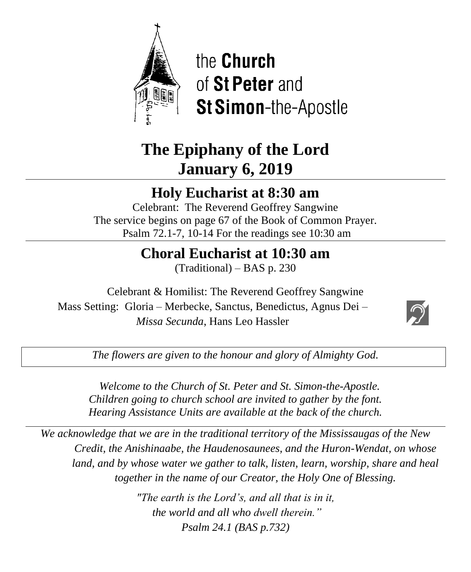

the **Church** of St Peter and **St Simon-the-Apostle** 

# **The Epiphany of the Lord January 6, 2019**

# **Holy Eucharist at 8:30 am**

Celebrant: The Reverend Geoffrey Sangwine The service begins on page 67 of the Book of Common Prayer. Psalm 72.1-7, 10-14 For the readings see 10:30 am

**Choral Eucharist at 10:30 am**

(Traditional) – BAS p. 230

Celebrant & Homilist: The Reverend Geoffrey Sangwine Mass Setting: Gloria – Merbecke, Sanctus, Benedictus, Agnus Dei – *Missa Secunda*, Hans Leo Hassler



*The flowers are given to the honour and glory of Almighty God.*

 *Welcome to the Church of St. Peter and St. Simon-the-Apostle. Children going to church school are invited to gather by the font. Hearing Assistance Units are available at the back of the church.*

*We acknowledge that we are in the traditional territory of the Mississaugas of the New Credit, the Anishinaabe, the Haudenosaunees, and the Huron-Wendat, on whose land, and by whose water we gather to talk, listen, learn, worship, share and heal together in the name of our Creator, the Holy One of Blessing.*

> *"The earth is the Lord's, and all that is in it, the world and all who dwell therein." Psalm 24.1 (BAS p.732)*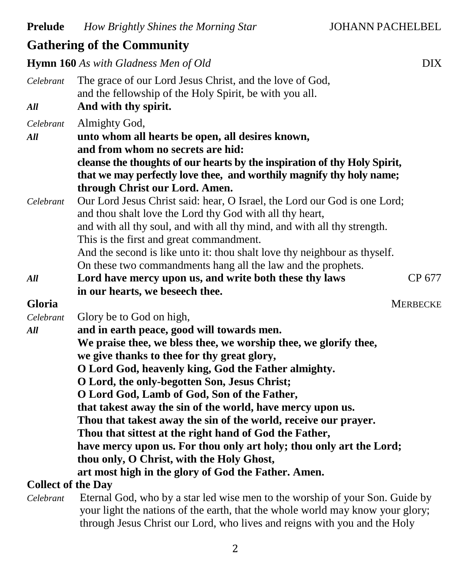# **Gathering of the Community**

**Hymn 160** *As with Gladness Men of Old* DIX DIX *Celebrant* The grace of our Lord Jesus Christ, and the love of God, and the fellowship of the Holy Spirit, be with you all. *All* **And with thy spirit.** *Celebrant* Almighty God, *All* **unto whom all hearts be open, all desires known, and from whom no secrets are hid: cleanse the thoughts of our hearts by the inspiration of thy Holy Spirit, that we may perfectly love thee, and worthily magnify thy holy name; through Christ our Lord. Amen.** *Celebrant* Our Lord Jesus Christ said: hear, O Israel, the Lord our God is one Lord; and thou shalt love the Lord thy God with all thy heart, and with all thy soul, and with all thy mind, and with all thy strength. This is the first and great commandment. And the second is like unto it: thou shalt love thy neighbour as thyself. On these two commandments hang all the law and the prophets. *All* **Lord have mercy upon us, and write both these thy laws** CP 677 **in our hearts, we beseech thee. Gloria** MERBECKE *Celebrant* Glory be to God on high, *All* **and in earth peace, good will towards men. We praise thee, we bless thee, we worship thee, we glorify thee, we give thanks to thee for thy great glory, O Lord God, heavenly king, God the Father almighty. O Lord, the only-begotten Son, Jesus Christ; O Lord God, Lamb of God, Son of the Father, that takest away the sin of the world, have mercy upon us. Thou that takest away the sin of the world, receive our prayer. Thou that sittest at the right hand of God the Father, have mercy upon us. For thou only art holy; thou only art the Lord; thou only, O Christ, with the Holy Ghost, art most high in the glory of God the Father. Amen. Collect of the Day**

*Celebrant* Eternal God, who by a star led wise men to the worship of your Son. Guide by your light the nations of the earth, that the whole world may know your glory; through Jesus Christ our Lord, who lives and reigns with you and the Holy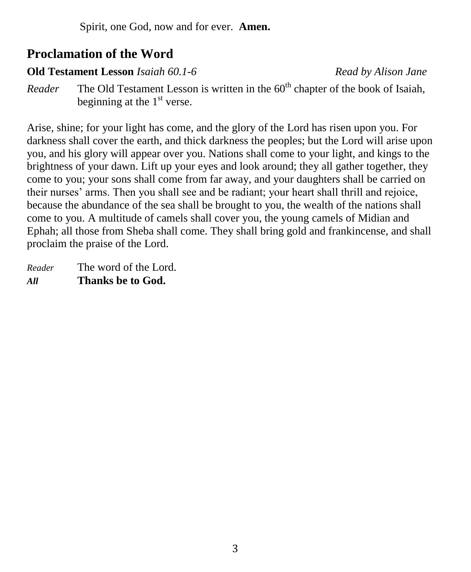Spirit, one God, now and for ever. **Amen.**

# **Proclamation of the Word**

#### **Old Testament Lesson** *Isaiah 60.1-6**Read by Alison Jane*

*Reader* The Old Testament Lesson is written in the 60<sup>th</sup> chapter of the book of Isaiah, beginning at the  $1<sup>st</sup>$  verse.

Arise, shine; for your light has come, and the glory of the Lord has risen upon you. For darkness shall cover the earth, and thick darkness the peoples; but the Lord will arise upon you, and his glory will appear over you. Nations shall come to your light, and kings to the brightness of your dawn. Lift up your eyes and look around; they all gather together, they come to you; your sons shall come from far away, and your daughters shall be carried on their nurses' arms. Then you shall see and be radiant; your heart shall thrill and rejoice, because the abundance of the sea shall be brought to you, the wealth of the nations shall come to you. A multitude of camels shall cover you, the young camels of Midian and Ephah; all those from Sheba shall come. They shall bring gold and frankincense, and shall proclaim the praise of the Lord.

*Reader* The word of the Lord. *All* **Thanks be to God.**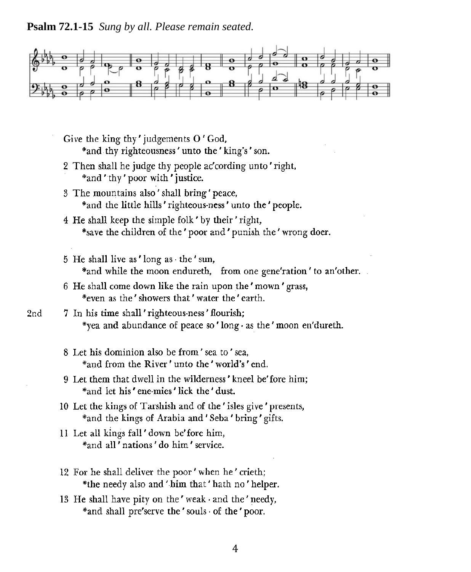**Psalm 72.1-15** *Sung by all. Please remain seated.*



Give the king thy' judgements O'God, \*and thy righteousness' unto the' king's' son.

- 2 Then shall he judge thy people ac'cording unto 'right, \*and 'thy' poor with' justice.
- 3 The mountains also' shall bring' peace, \*and the little hills' righteous-ness' unto the' people.
- 4 He shall keep the simple folk 'by their' right, \*save the children of the 'poor and 'punish the' wrong doer.
- 5 He shall live as 'long as  $\cdot$  the 'sun, \*and while the moon endureth, from one gene'ration' to an'other.
- 6 He shall come down like the rain upon the 'mown' grass, \*even as the' showers that' water the' earth.

7 In his time shall 'righteous-ness' flourish; \*yea and abundance of peace so'long · as the' moon en'dureth.

- 8 Let his dominion also be from ' sea to ' sea, \*and from the River' unto the' world's' end.
- 9 Let them that dwell in the wilderness' kneel be' fore him; \*and let his' ene-mies' lick the' dust.
- 10 Let the kings of Tarshish and of the 'isles give' presents, \*and the kings of Arabia and 'Seba' bring' gifts.
- 11 Let all kings fall 'down be' fore him, \*and all 'nations' do him' service.
- 12 For he shall deliver the poor' when he' crieth; \*the needy also and 'him that' hath no' helper.
- 13 He shall have pity on the 'weak  $\cdot$  and the 'needy, \*and shall pre'serve the' souls of the' poor.

2nd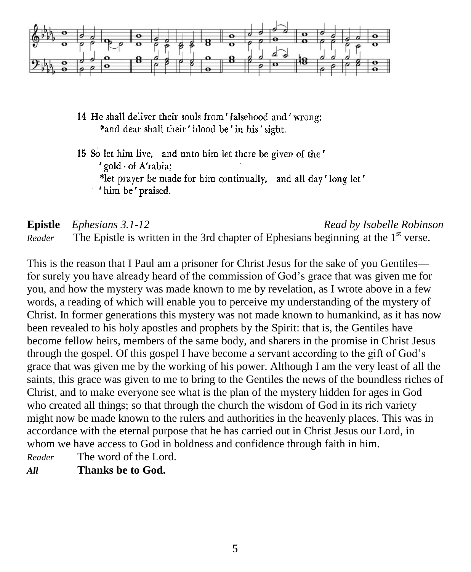

14 He shall deliver their souls from 'falsehood and ' wrong; \*and dear shall their' blood be' in his' sight.

15 So let him live, and unto him let there be given of the' ' gold of A'rabia; \*let prayer be made for him continually, and all day 'long let' 'him be' praised.

#### **Epistle** *Ephesians 3.1-12 Read by Isabelle Robinson Reader* The Epistle is written in the 3rd chapter of Ephesians beginning at the 1<sup>st</sup> verse.

This is the reason that I Paul am a prisoner for Christ Jesus for the sake of you Gentiles for surely you have already heard of the commission of God's grace that was given me for you, and how the mystery was made known to me by revelation, as I wrote above in a few words, a reading of which will enable you to perceive my understanding of the mystery of Christ. In former generations this mystery was not made known to humankind, as it has now been revealed to his holy apostles and prophets by the Spirit: that is, the Gentiles have become fellow heirs, members of the same body, and sharers in the promise in Christ Jesus through the gospel. Of this gospel I have become a servant according to the gift of God's grace that was given me by the working of his power. Although I am the very least of all the saints, this grace was given to me to bring to the Gentiles the news of the boundless riches of Christ, and to make everyone see what is the plan of the mystery hidden for ages in God who created all things; so that through the church the wisdom of God in its rich variety might now be made known to the rulers and authorities in the heavenly places. This was in accordance with the eternal purpose that he has carried out in Christ Jesus our Lord, in whom we have access to God in boldness and confidence through faith in him. *Reader* The word of the Lord.

*All* **Thanks be to God.**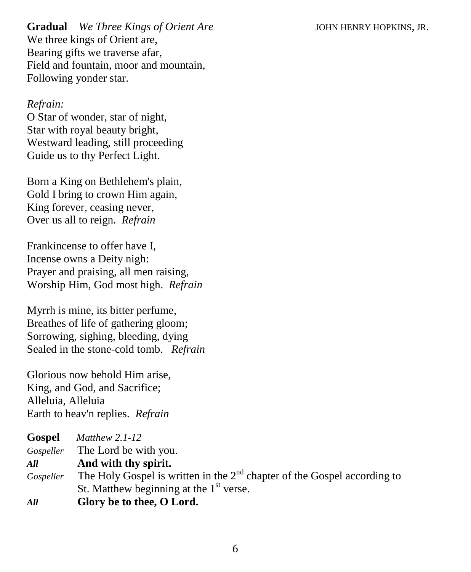**Gradual** *We Three Kings of Orient Are* JOHN HENRY HOPKINS, JR. We three kings of Orient are, Bearing gifts we traverse afar, Field and fountain, moor and mountain, Following yonder star.

#### *Refrain:*

O Star of wonder, star of night, Star with royal beauty bright, Westward leading, still proceeding Guide us to thy Perfect Light.

Born a King on Bethlehem's plain, Gold I bring to crown Him again, King forever, ceasing never, Over us all to reign. *Refrain*

Frankincense to offer have I, Incense owns a Deity nigh: Prayer and praising, all men raising, Worship Him, God most high. *Refrain*

Myrrh is mine, its bitter perfume, Breathes of life of gathering gloom; Sorrowing, sighing, bleeding, dying Sealed in the stone-cold tomb. *Refrain*

Glorious now behold Him arise, King, and God, and Sacrifice; Alleluia, Alleluia Earth to heav'n replies. *Refrain*

**Gospel** *Matthew 2.1-12 Gospeller* The Lord be with you. *All* **And with thy spirit.** Gospeller The Holy Gospel is written in the 2<sup>nd</sup> chapter of the Gospel according to St. Matthew beginning at the  $1<sup>st</sup>$  verse. *All* **Glory be to thee, O Lord.**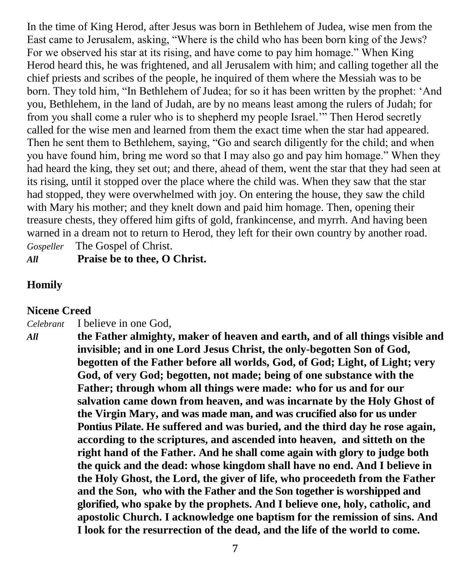In the time of King Herod, after Jesus was born in Bethlehem of Judea, wise men from the East came to Jerusalem, asking, "Where is the child who has been born king of the Jews? For we observed his star at its rising, and have come to pay him homage." When King Herod heard this, he was frightened, and all Jerusalem with him; and calling together all the chief priests and scribes of the people, he inquired of them where the Messiah was to be born. They told him, "In Bethlehem of Judea; for so it has been written by the prophet: 'And you, Bethlehem, in the land of Judah, are by no means least among the rulers of Judah; for from you shall come a ruler who is to shepherd my people Israel.'" Then Herod secretly called for the wise men and learned from them the exact time when the star had appeared. Then he sent them to Bethlehem, saying, "Go and search diligently for the child; and when you have found him, bring me word so that I may also go and pay him homage." When they had heard the king, they set out; and there, ahead of them, went the star that they had seen at its rising, until it stopped over the place where the child was. When they saw that the star had stopped, they were overwhelmed with joy. On entering the house, they saw the child with Mary his mother; and they knelt down and paid him homage. Then, opening their treasure chests, they offered him gifts of gold, frankincense, and myrrh. And having been warned in a dream not to return to Herod, they left for their own country by another road. *Gospeller* The Gospel of Christ.

*All* **Praise be to thee, O Christ.**

#### **Homily**

#### **Nicene Creed**

*Celebrant* I believe in one God,

*All* **the Father almighty, maker of heaven and earth, and of all things visible and invisible; and in one Lord Jesus Christ, the only-begotten Son of God, begotten of the Father before all worlds, God, of God; Light, of Light; very God, of very God; begotten, not made; being of one substance with the Father; through whom all things were made: who for us and for our salvation came down from heaven, and was incarnate by the Holy Ghost of the Virgin Mary, and was made man, and was crucified also for us under Pontius Pilate. He suffered and was buried, and the third day he rose again, according to the scriptures, and ascended into heaven, and sitteth on the right hand of the Father. And he shall come again with glory to judge both the quick and the dead: whose kingdom shall have no end. And I believe in the Holy Ghost, the Lord, the giver of life, who proceedeth from the Father and the Son, who with the Father and the Son together is worshipped and glorified, who spake by the prophets. And I believe one, holy, catholic, and apostolic Church. I acknowledge one baptism for the remission of sins. And I look for the resurrection of the dead, and the life of the world to come.**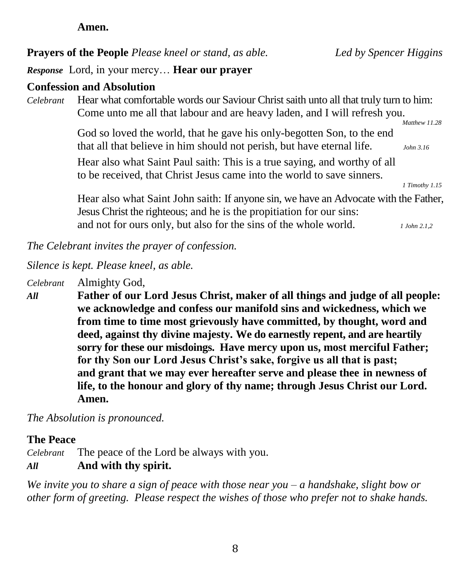#### **Amen.**

**Prayers of the People** *Please kneel or stand, as able. Led by Spencer Higgins*

*Response* Lord, in your mercy… **Hear our prayer**

#### **Confession and Absolution**

*Celebrant* Hear what comfortable words our Saviour Christ saith unto all that truly turn to him: Come unto me all that labour and are heavy laden, and I will refresh you.  *Matthew 11.28* God so loved the world, that he gave his only-begotten Son, to the end that all that believe in him should not perish, but have eternal life. *John 3.16*

> Hear also what Saint Paul saith: This is a true saying, and worthy of all to be received, that Christ Jesus came into the world to save sinners.

Hear also what Saint John saith: If anyone sin, we have an Advocate with the Father, Jesus Christ the righteous; and he is the propitiation for our sins: and not for ours only, but also for the sins of the whole world. *1 John 2.1,2*

*The Celebrant invites the prayer of confession.*

*Silence is kept. Please kneel, as able.*

*Celebrant* Almighty God,

*All* **Father of our Lord Jesus Christ, maker of all things and judge of all people: we acknowledge and confess our manifold sins and wickedness, which we from time to time most grievously have committed, by thought, word and deed, against thy divine majesty. We do earnestly repent, and are heartily sorry for these our misdoings. Have mercy upon us, most merciful Father; for thy Son our Lord Jesus Christ's sake, forgive us all that is past; and grant that we may ever hereafter serve and please thee in newness of life, to the honour and glory of thy name; through Jesus Christ our Lord. Amen.**

*The Absolution is pronounced.*

#### **The Peace**

*Celebrant* The peace of the Lord be always with you.

*All* **And with thy spirit.**

*We invite you to share a sign of peace with those near you – a handshake, slight bow or other form of greeting. Please respect the wishes of those who prefer not to shake hands.*

*1 Timothy 1.15*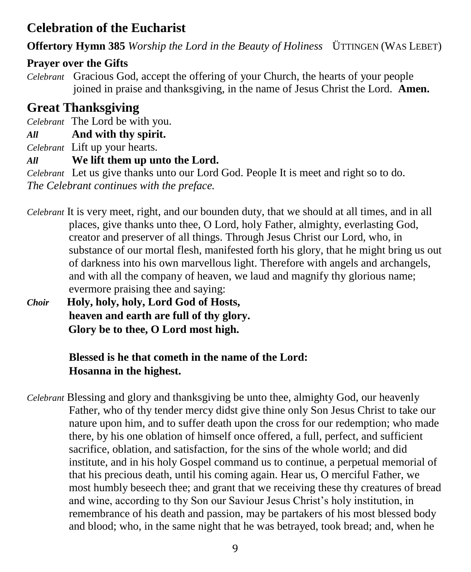## **Celebration of the Eucharist**

**Offertory Hymn 385** *Worship the Lord in the Beauty of Holiness* ÜTTINGEN (WAS LEBET)

#### **Prayer over the Gifts**

*Celebrant* Gracious God, accept the offering of your Church, the hearts of your people joined in praise and thanksgiving, in the name of Jesus Christ the Lord. **Amen.**

# **Great Thanksgiving**

*Celebrant* The Lord be with you.

*All* **And with thy spirit.** 

*Celebrant* Lift up your hearts.

*All* **We lift them up unto the Lord.**

*Celebrant* Let us give thanks unto our Lord God. People It is meet and right so to do. *The Celebrant continues with the preface.* 

- *Celebrant* It is very meet, right, and our bounden duty, that we should at all times, and in all places, give thanks unto thee, O Lord, holy Father, almighty, everlasting God, creator and preserver of all things. Through Jesus Christ our Lord, who, in substance of our mortal flesh, manifested forth his glory, that he might bring us out of darkness into his own marvellous light. Therefore with angels and archangels, and with all the company of heaven, we laud and magnify thy glorious name; evermore praising thee and saying:
- *Choir* **Holy, holy, holy, Lord God of Hosts, heaven and earth are full of thy glory. Glory be to thee, O Lord most high.**

### **Blessed is he that cometh in the name of the Lord: Hosanna in the highest.**

*Celebrant* Blessing and glory and thanksgiving be unto thee, almighty God, our heavenly Father, who of thy tender mercy didst give thine only Son Jesus Christ to take our nature upon him, and to suffer death upon the cross for our redemption; who made there, by his one oblation of himself once offered, a full, perfect, and sufficient sacrifice, oblation, and satisfaction, for the sins of the whole world; and did institute, and in his holy Gospel command us to continue, a perpetual memorial of that his precious death, until his coming again. Hear us, O merciful Father, we most humbly beseech thee; and grant that we receiving these thy creatures of bread and wine, according to thy Son our Saviour Jesus Christ's holy institution, in remembrance of his death and passion, may be partakers of his most blessed body and blood; who, in the same night that he was betrayed, took bread; and, when he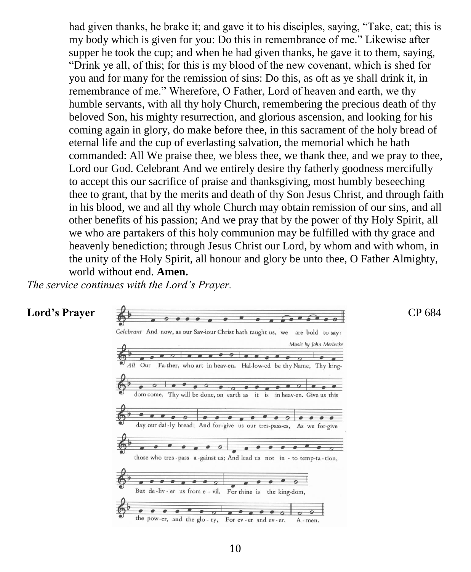had given thanks, he brake it; and gave it to his disciples, saying, "Take, eat; this is my body which is given for you: Do this in remembrance of me." Likewise after supper he took the cup; and when he had given thanks, he gave it to them, saying, "Drink ye all, of this; for this is my blood of the new covenant, which is shed for you and for many for the remission of sins: Do this, as oft as ye shall drink it, in remembrance of me." Wherefore, O Father, Lord of heaven and earth, we thy humble servants, with all thy holy Church, remembering the precious death of thy beloved Son, his mighty resurrection, and glorious ascension, and looking for his coming again in glory, do make before thee, in this sacrament of the holy bread of eternal life and the cup of everlasting salvation, the memorial which he hath commanded: All We praise thee, we bless thee, we thank thee, and we pray to thee, Lord our God. Celebrant And we entirely desire thy fatherly goodness mercifully to accept this our sacrifice of praise and thanksgiving, most humbly beseeching thee to grant, that by the merits and death of thy Son Jesus Christ, and through faith in his blood, we and all thy whole Church may obtain remission of our sins, and all other benefits of his passion; And we pray that by the power of thy Holy Spirit, all we who are partakers of this holy communion may be fulfilled with thy grace and heavenly benediction; through Jesus Christ our Lord, by whom and with whom, in the unity of the Holy Spirit, all honour and glory be unto thee, O Father Almighty, world without end. **Amen.** 

*The service continues with the Lord's Prayer.*

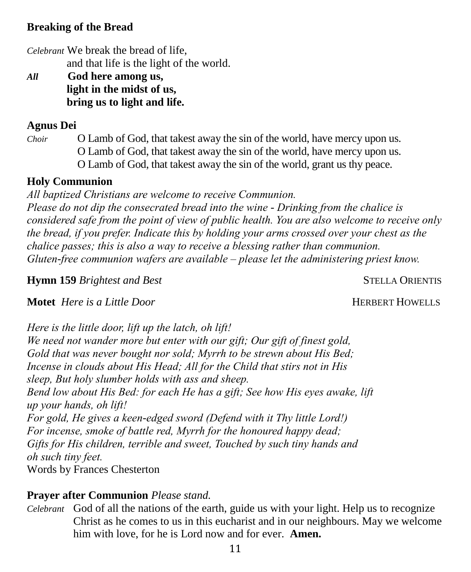#### **Breaking of the Bread**

*Celebrant* We break the bread of life, and that life is the light of the world.

*All* **God here among us, light in the midst of us, bring us to light and life.**

#### **Agnus Dei**

*Choir* O Lamb of God, that takest away the sin of the world, have mercy upon us. O Lamb of God, that takest away the sin of the world, have mercy upon us. O Lamb of God, that takest away the sin of the world, grant us thy peace.

#### **Holy Communion**

*All baptized Christians are welcome to receive Communion. Please do not dip the consecrated bread into the wine - Drinking from the chalice is considered safe from the point of view of public health. You are also welcome to receive only the bread, if you prefer. Indicate this by holding your arms crossed over your chest as the chalice passes; this is also a way to receive a blessing rather than communion. Gluten-free communion wafers are available – please let the administering priest know.*

**Hymn 159** *Brightest and Best* STELLA ORIENTIS

**Motet** *Here is a Little Door* **According to the HERBERT HOWELLS** 

*Here is the little door, lift up the latch, oh lift! We need not wander more but enter with our gift; Our gift of finest gold, Gold that was never bought nor sold; Myrrh to be strewn about His Bed; Incense in clouds about His Head; All for the Child that stirs not in His sleep, But holy slumber holds with ass and sheep. Bend low about His Bed: for each He has a gift; See how His eyes awake, lift up your hands, oh lift! For gold, He gives a keen-edged sword (Defend with it Thy little Lord!) For incense, smoke of battle red, Myrrh for the honoured happy dead; Gifts for His children, terrible and sweet, Touched by such tiny hands and oh such tiny feet.* Words by Frances Chesterton

### **Prayer after Communion** *Please stand.*

*Celebrant* God of all the nations of the earth, guide us with your light. Help us to recognize Christ as he comes to us in this eucharist and in our neighbours. May we welcome him with love, for he is Lord now and for ever. **Amen.**